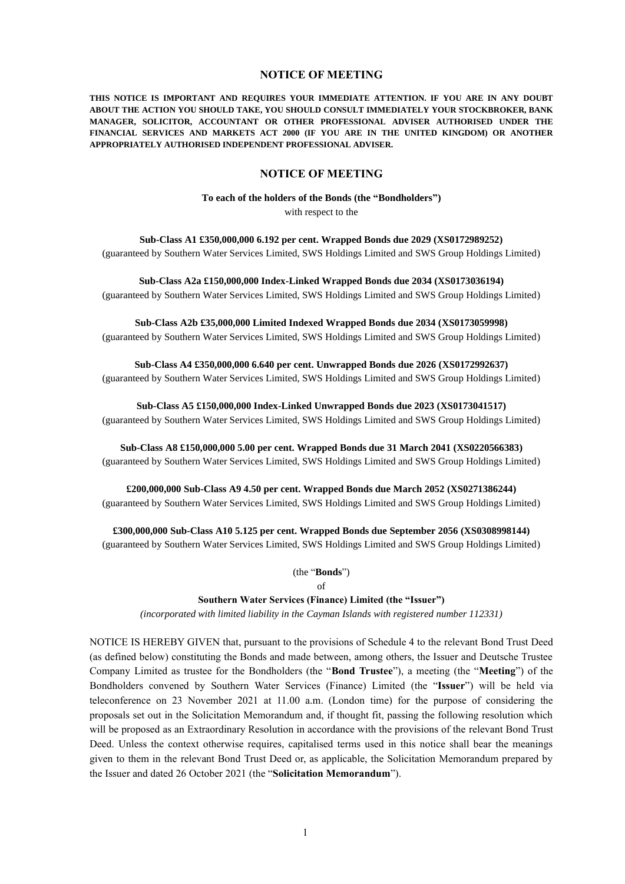# **NOTICE OF MEETING**

**THIS NOTICE IS IMPORTANT AND REQUIRES YOUR IMMEDIATE ATTENTION. IF YOU ARE IN ANY DOUBT ABOUT THE ACTION YOU SHOULD TAKE, YOU SHOULD CONSULT IMMEDIATELY YOUR STOCKBROKER, BANK MANAGER, SOLICITOR, ACCOUNTANT OR OTHER PROFESSIONAL ADVISER AUTHORISED UNDER THE FINANCIAL SERVICES AND MARKETS ACT 2000 (IF YOU ARE IN THE UNITED KINGDOM) OR ANOTHER APPROPRIATELY AUTHORISED INDEPENDENT PROFESSIONAL ADVISER.**

### **NOTICE OF MEETING**

**To each of the holders of the Bonds (the "Bondholders")**

with respect to the

**Sub-Class A1 £350,000,000 6.192 per cent. Wrapped Bonds due 2029 (XS0172989252)** (guaranteed by Southern Water Services Limited, SWS Holdings Limited and SWS Group Holdings Limited)

**Sub-Class A2a £150,000,000 Index-Linked Wrapped Bonds due 2034 (XS0173036194)** (guaranteed by Southern Water Services Limited, SWS Holdings Limited and SWS Group Holdings Limited)

**Sub-Class A2b £35,000,000 Limited Indexed Wrapped Bonds due 2034 (XS0173059998)** (guaranteed by Southern Water Services Limited, SWS Holdings Limited and SWS Group Holdings Limited)

**Sub-Class A4 £350,000,000 6.640 per cent. Unwrapped Bonds due 2026 (XS0172992637)** (guaranteed by Southern Water Services Limited, SWS Holdings Limited and SWS Group Holdings Limited)

**Sub-Class A5 £150,000,000 Index-Linked Unwrapped Bonds due 2023 (XS0173041517)** (guaranteed by Southern Water Services Limited, SWS Holdings Limited and SWS Group Holdings Limited)

**Sub-Class A8 £150,000,000 5.00 per cent. Wrapped Bonds due 31 March 2041 (XS0220566383)** (guaranteed by Southern Water Services Limited, SWS Holdings Limited and SWS Group Holdings Limited)

**£200,000,000 Sub-Class A9 4.50 per cent. Wrapped Bonds due March 2052 (XS0271386244)** (guaranteed by Southern Water Services Limited, SWS Holdings Limited and SWS Group Holdings Limited)

**£300,000,000 Sub-Class A10 5.125 per cent. Wrapped Bonds due September 2056 (XS0308998144)**

(guaranteed by Southern Water Services Limited, SWS Holdings Limited and SWS Group Holdings Limited)

(the "**Bonds**")

of

### **Southern Water Services (Finance) Limited (the "Issuer")**

*(incorporated with limited liability in the Cayman Islands with registered number 112331)*

NOTICE IS HEREBY GIVEN that, pursuant to the provisions of Schedule 4 to the relevant Bond Trust Deed (as defined below) constituting the Bonds and made between, among others, the Issuer and Deutsche Trustee Company Limited as trustee for the Bondholders (the "**Bond Trustee**"), a meeting (the "**Meeting**") of the Bondholders convened by Southern Water Services (Finance) Limited (the "**Issuer**") will be held via teleconference on 23 November 2021 at 11.00 a.m. (London time) for the purpose of considering the proposals set out in the Solicitation Memorandum and, if thought fit, passing the following resolution which will be proposed as an Extraordinary Resolution in accordance with the provisions of the relevant Bond Trust Deed. Unless the context otherwise requires, capitalised terms used in this notice shall bear the meanings given to them in the relevant Bond Trust Deed or, as applicable, the Solicitation Memorandum prepared by the Issuer and dated 26 October 2021 (the "**Solicitation Memorandum**").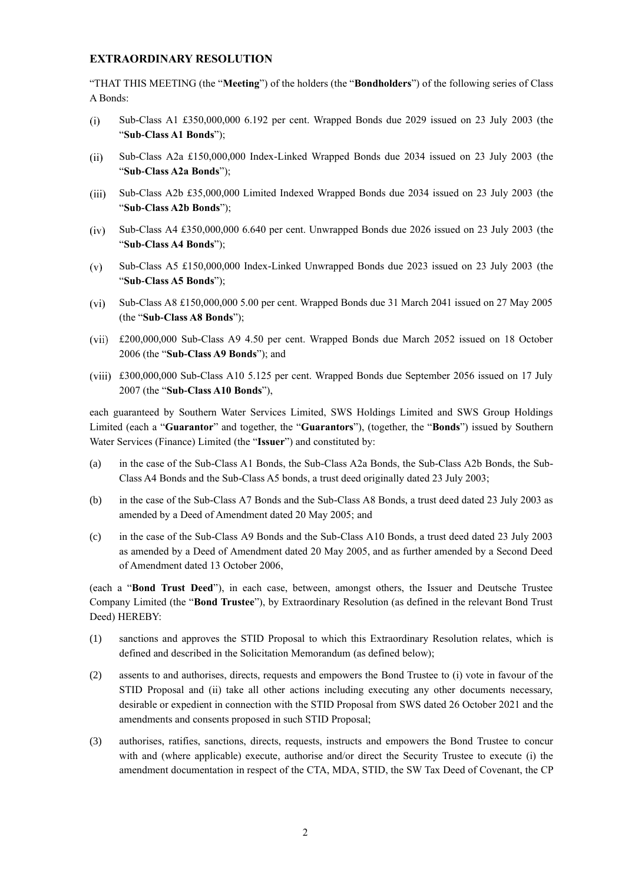# **EXTRAORDINARY RESOLUTION**

"THAT THIS MEETING (the "**Meeting**") of the holders (the "**Bondholders**") of the following series of Class A Bonds:

- Sub-Class A1 £350,000,000 6.192 per cent. Wrapped Bonds due 2029 issued on 23 July 2003 (the  $(i)$ "**Sub-Class A1 Bonds**");
- $(ii)$ Sub-Class A2a £150,000,000 Index-Linked Wrapped Bonds due 2034 issued on 23 July 2003 (the "**Sub-Class A2a Bonds**");
- Sub-Class A2b £35,000,000 Limited Indexed Wrapped Bonds due 2034 issued on 23 July 2003 (the  $(iii)$ "**Sub-Class A2b Bonds**");
- $(iv)$ Sub-Class A4 £350,000,000 6.640 per cent. Unwrapped Bonds due 2026 issued on 23 July 2003 (the "**Sub-Class A4 Bonds**");
- Sub-Class A5 £150,000,000 Index-Linked Unwrapped Bonds due 2023 issued on 23 July 2003 (the  $(v)$ "**Sub-Class A5 Bonds**");
- $(vi)$ Sub-Class A8 £150,000,000 5.00 per cent. Wrapped Bonds due 31 March 2041 issued on 27 May 2005 (the "**Sub-Class A8 Bonds**");
- £200,000,000 Sub-Class A9 4.50 per cent. Wrapped Bonds due March 2052 issued on 18 October 2006 (the "**Sub-Class A9 Bonds**"); and
- £300,000,000 Sub-Class A10 5.125 per cent. Wrapped Bonds due September 2056 issued on 17 July 2007 (the "**Sub-Class A10 Bonds**"),

each guaranteed by Southern Water Services Limited, SWS Holdings Limited and SWS Group Holdings Limited (each a "**Guarantor**" and together, the "**Guarantors**"), (together, the "**Bonds**") issued by Southern Water Services (Finance) Limited (the "**Issuer**") and constituted by:

- (a) in the case of the Sub-Class A1 Bonds, the Sub-Class A2a Bonds, the Sub-Class A2b Bonds, the Sub-Class A4 Bonds and the Sub-Class A5 bonds, a trust deed originally dated 23 July 2003;
- (b) in the case of the Sub-Class A7 Bonds and the Sub-Class A8 Bonds, a trust deed dated 23 July 2003 as amended by a Deed of Amendment dated 20 May 2005; and
- (c) in the case of the Sub-Class A9 Bonds and the Sub-Class A10 Bonds, a trust deed dated 23 July 2003 as amended by a Deed of Amendment dated 20 May 2005, and as further amended by a Second Deed of Amendment dated 13 October 2006,

(each a "**Bond Trust Deed**"), in each case, between, amongst others, the Issuer and Deutsche Trustee Company Limited (the "**Bond Trustee**"), by Extraordinary Resolution (as defined in the relevant Bond Trust Deed) HEREBY:

- (1) sanctions and approves the STID Proposal to which this Extraordinary Resolution relates, which is defined and described in the Solicitation Memorandum (as defined below);
- (2) assents to and authorises, directs, requests and empowers the Bond Trustee to (i) vote in favour of the STID Proposal and (ii) take all other actions including executing any other documents necessary, desirable or expedient in connection with the STID Proposal from SWS dated 26 October 2021 and the amendments and consents proposed in such STID Proposal;
- (3) authorises, ratifies, sanctions, directs, requests, instructs and empowers the Bond Trustee to concur with and (where applicable) execute, authorise and/or direct the Security Trustee to execute (i) the amendment documentation in respect of the CTA, MDA, STID, the SW Tax Deed of Covenant, the CP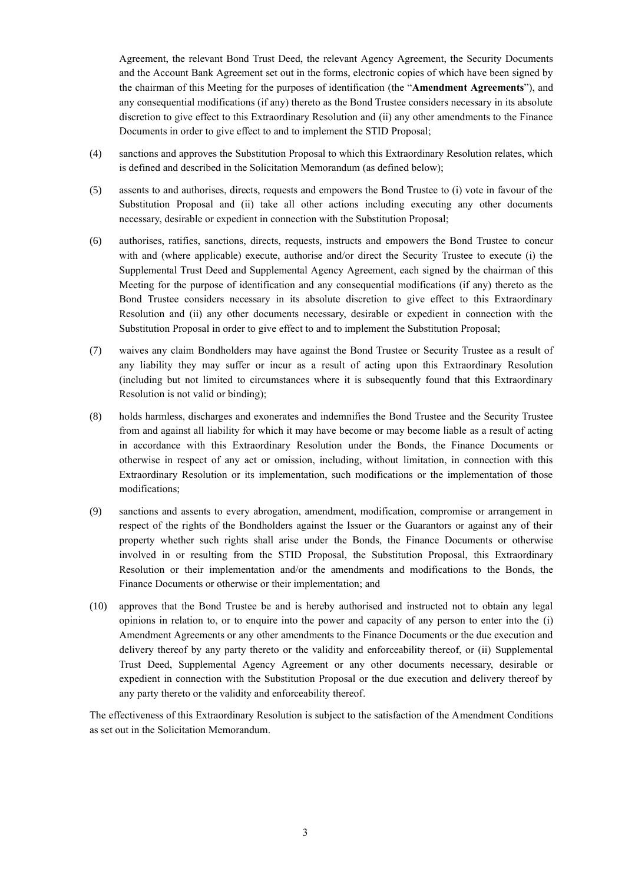Agreement, the relevant Bond Trust Deed, the relevant Agency Agreement, the Security Documents and the Account Bank Agreement set out in the forms, electronic copies of which have been signed by the chairman of this Meeting for the purposes of identification (the "**Amendment Agreements**"), and any consequential modifications (if any) thereto as the Bond Trustee considers necessary in its absolute discretion to give effect to this Extraordinary Resolution and (ii) any other amendments to the Finance Documents in order to give effect to and to implement the STID Proposal;

- (4) sanctions and approves the Substitution Proposal to which this Extraordinary Resolution relates, which is defined and described in the Solicitation Memorandum (as defined below);
- (5) assents to and authorises, directs, requests and empowers the Bond Trustee to (i) vote in favour of the Substitution Proposal and (ii) take all other actions including executing any other documents necessary, desirable or expedient in connection with the Substitution Proposal;
- (6) authorises, ratifies, sanctions, directs, requests, instructs and empowers the Bond Trustee to concur with and (where applicable) execute, authorise and/or direct the Security Trustee to execute (i) the Supplemental Trust Deed and Supplemental Agency Agreement, each signed by the chairman of this Meeting for the purpose of identification and any consequential modifications (if any) thereto as the Bond Trustee considers necessary in its absolute discretion to give effect to this Extraordinary Resolution and (ii) any other documents necessary, desirable or expedient in connection with the Substitution Proposal in order to give effect to and to implement the Substitution Proposal;
- (7) waives any claim Bondholders may have against the Bond Trustee or Security Trustee as a result of any liability they may suffer or incur as a result of acting upon this Extraordinary Resolution (including but not limited to circumstances where it is subsequently found that this Extraordinary Resolution is not valid or binding);
- (8) holds harmless, discharges and exonerates and indemnifies the Bond Trustee and the Security Trustee from and against all liability for which it may have become or may become liable as a result of acting in accordance with this Extraordinary Resolution under the Bonds, the Finance Documents or otherwise in respect of any act or omission, including, without limitation, in connection with this Extraordinary Resolution or its implementation, such modifications or the implementation of those modifications;
- (9) sanctions and assents to every abrogation, amendment, modification, compromise or arrangement in respect of the rights of the Bondholders against the Issuer or the Guarantors or against any of their property whether such rights shall arise under the Bonds, the Finance Documents or otherwise involved in or resulting from the STID Proposal, the Substitution Proposal, this Extraordinary Resolution or their implementation and/or the amendments and modifications to the Bonds, the Finance Documents or otherwise or their implementation; and
- (10) approves that the Bond Trustee be and is hereby authorised and instructed not to obtain any legal opinions in relation to, or to enquire into the power and capacity of any person to enter into the (i) Amendment Agreements or any other amendments to the Finance Documents or the due execution and delivery thereof by any party thereto or the validity and enforceability thereof, or (ii) Supplemental Trust Deed, Supplemental Agency Agreement or any other documents necessary, desirable or expedient in connection with the Substitution Proposal or the due execution and delivery thereof by any party thereto or the validity and enforceability thereof.

The effectiveness of this Extraordinary Resolution is subject to the satisfaction of the Amendment Conditions as set out in the Solicitation Memorandum.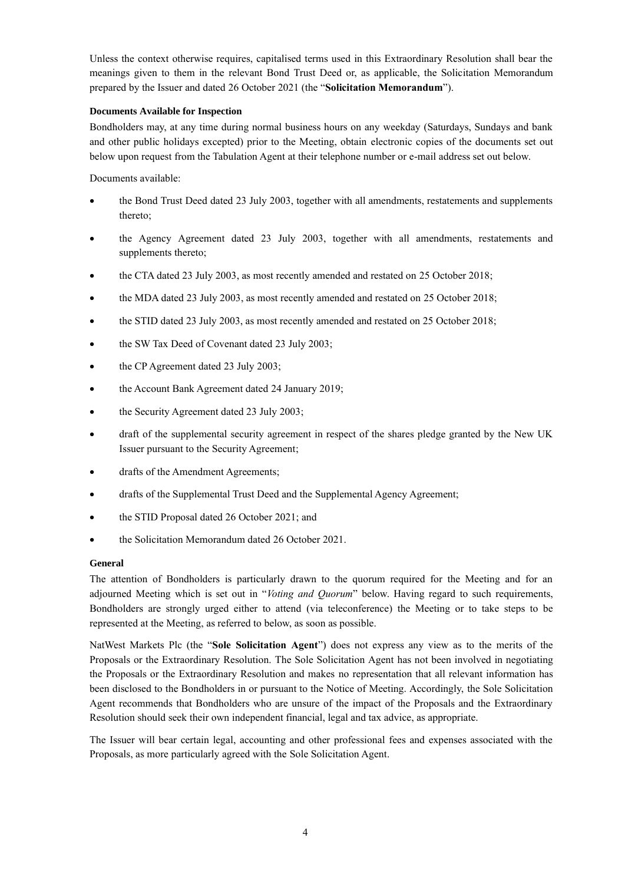Unless the context otherwise requires, capitalised terms used in this Extraordinary Resolution shall bear the meanings given to them in the relevant Bond Trust Deed or, as applicable, the Solicitation Memorandum prepared by the Issuer and dated 26 October 2021 (the "**Solicitation Memorandum**").

# **Documents Available for Inspection**

Bondholders may, at any time during normal business hours on any weekday (Saturdays, Sundays and bank and other public holidays excepted) prior to the Meeting, obtain electronic copies of the documents set out below upon request from the Tabulation Agent at their telephone number or e-mail address set out below.

Documents available:

- the Bond Trust Deed dated 23 July 2003, together with all amendments, restatements and supplements thereto;
- the Agency Agreement dated 23 July 2003, together with all amendments, restatements and supplements thereto;
- the CTA dated 23 July 2003, as most recently amended and restated on 25 October 2018;
- the MDA dated 23 July 2003, as most recently amended and restated on 25 October 2018;
- the STID dated 23 July 2003, as most recently amended and restated on 25 October 2018;
- the SW Tax Deed of Covenant dated 23 July 2003;
- the CP Agreement dated 23 July 2003;
- the Account Bank Agreement dated 24 January 2019;
- the Security Agreement dated 23 July 2003;
- draft of the supplemental security agreement in respect of the shares pledge granted by the New UK Issuer pursuant to the Security Agreement;
- drafts of the Amendment Agreements;
- drafts of the Supplemental Trust Deed and the Supplemental Agency Agreement;
- the STID Proposal dated 26 October 2021; and
- the Solicitation Memorandum dated 26 October 2021.

# **General**

The attention of Bondholders is particularly drawn to the quorum required for the Meeting and for an adjourned Meeting which is set out in "*Voting and Quorum*" below. Having regard to such requirements, Bondholders are strongly urged either to attend (via teleconference) the Meeting or to take steps to be represented at the Meeting, as referred to below, as soon as possible.

NatWest Markets Plc (the "**Sole Solicitation Agent**") does not express any view as to the merits of the Proposals or the Extraordinary Resolution. The Sole Solicitation Agent has not been involved in negotiating the Proposals or the Extraordinary Resolution and makes no representation that all relevant information has been disclosed to the Bondholders in or pursuant to the Notice of Meeting. Accordingly, the Sole Solicitation Agent recommends that Bondholders who are unsure of the impact of the Proposals and the Extraordinary Resolution should seek their own independent financial, legal and tax advice, as appropriate.

The Issuer will bear certain legal, accounting and other professional fees and expenses associated with the Proposals, as more particularly agreed with the Sole Solicitation Agent.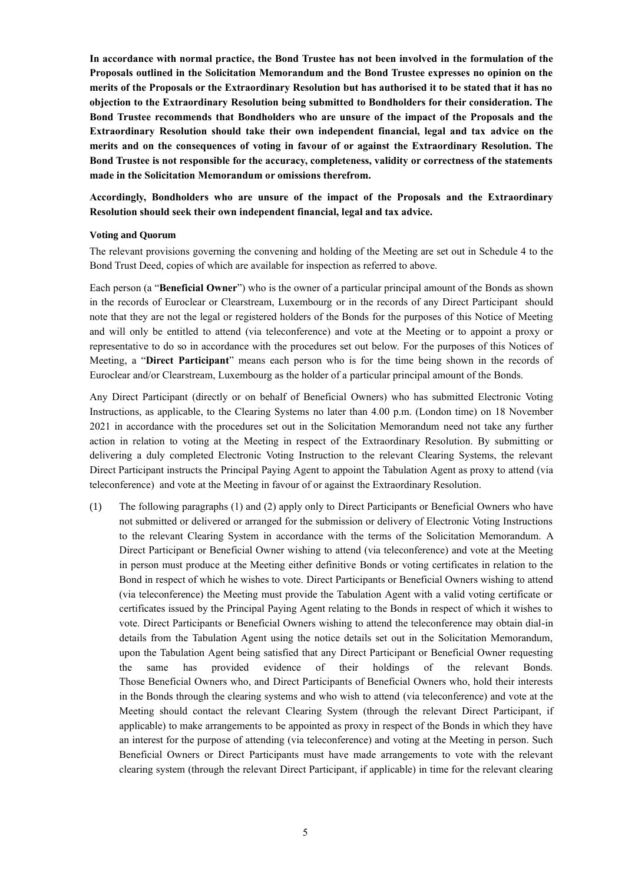**In accordance with normal practice, the Bond Trustee has not been involved in the formulation of the Proposals outlined in the Solicitation Memorandum and the Bond Trustee expresses no opinion on the merits of the Proposals or the Extraordinary Resolution but has authorised it to be stated that it has no objection to the Extraordinary Resolution being submitted to Bondholders for their consideration. The Bond Trustee recommends that Bondholders who are unsure of the impact of the Proposals and the Extraordinary Resolution should take their own independent financial, legal and tax advice on the merits and on the consequences of voting in favour of or against the Extraordinary Resolution. The Bond Trustee is not responsible for the accuracy, completeness, validity or correctness of the statements made in the Solicitation Memorandum or omissions therefrom.**

**Accordingly, Bondholders who are unsure of the impact of the Proposals and the Extraordinary Resolution should seek their own independent financial, legal and tax advice.**

### **Voting and Quorum**

The relevant provisions governing the convening and holding of the Meeting are set out in Schedule 4 to the Bond Trust Deed, copies of which are available for inspection as referred to above.

Each person (a "**Beneficial Owner**") who is the owner of a particular principal amount of the Bonds as shown in the records of Euroclear or Clearstream, Luxembourg or in the records of any Direct Participant should note that they are not the legal or registered holders of the Bonds for the purposes of this Notice of Meeting and will only be entitled to attend (via teleconference) and vote at the Meeting or to appoint a proxy or representative to do so in accordance with the procedures set out below. For the purposes of this Notices of Meeting, a "**Direct Participant**" means each person who is for the time being shown in the records of Euroclear and/or Clearstream, Luxembourg as the holder of a particular principal amount of the Bonds.

Any Direct Participant (directly or on behalf of Beneficial Owners) who has submitted Electronic Voting Instructions, as applicable, to the Clearing Systems no later than 4.00 p.m. (London time) on 18 November 2021 in accordance with the procedures set out in the Solicitation Memorandum need not take any further action in relation to voting at the Meeting in respect of the Extraordinary Resolution. By submitting or delivering a duly completed Electronic Voting Instruction to the relevant Clearing Systems, the relevant Direct Participant instructs the Principal Paying Agent to appoint the Tabulation Agent as proxy to attend (via teleconference) and vote at the Meeting in favour of or against the Extraordinary Resolution.

(1) The following paragraphs (1) and (2) apply only to Direct Participants or Beneficial Owners who have not submitted or delivered or arranged for the submission or delivery of Electronic Voting Instructions to the relevant Clearing System in accordance with the terms of the Solicitation Memorandum. A Direct Participant or Beneficial Owner wishing to attend (via teleconference) and vote at the Meeting in person must produce at the Meeting either definitive Bonds or voting certificates in relation to the Bond in respect of which he wishes to vote. Direct Participants or Beneficial Owners wishing to attend (via teleconference) the Meeting must provide the Tabulation Agent with a valid voting certificate or certificates issued by the Principal Paying Agent relating to the Bonds in respect of which it wishes to vote. Direct Participants or Beneficial Owners wishing to attend the teleconference may obtain dial-in details from the Tabulation Agent using the notice details set out in the Solicitation Memorandum, upon the Tabulation Agent being satisfied that any Direct Participant or Beneficial Owner requesting the same has provided evidence of their holdings of the relevant Bonds. Those Beneficial Owners who, and Direct Participants of Beneficial Owners who, hold their interests in the Bonds through the clearing systems and who wish to attend (via teleconference) and vote at the Meeting should contact the relevant Clearing System (through the relevant Direct Participant, if applicable) to make arrangements to be appointed as proxy in respect of the Bonds in which they have an interest for the purpose of attending (via teleconference) and voting at the Meeting in person. Such Beneficial Owners or Direct Participants must have made arrangements to vote with the relevant clearing system (through the relevant Direct Participant, if applicable) in time for the relevant clearing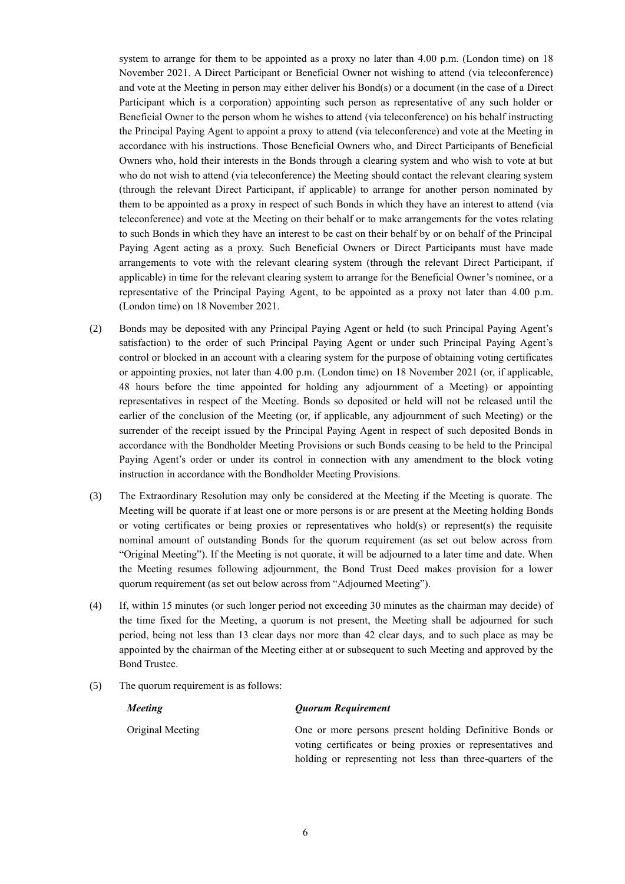system to arrange for them to be appointed as a proxy no later than 4.00 p.m. (London time) on 18 November 2021. A Direct Participant or Beneficial Owner not wishing to attend (via teleconference) and vote at the Meeting in person may either deliver his Bond(s) or a document (in the case of a Direct Participant which is a corporation) appointing such person as representative of any such holder or Beneficial Owner to the person whom he wishes to attend (via teleconference) on his behalf instructing the Principal Paying Agent to appoint a proxy to attend (via teleconference) and vote at the Meeting in accordance with his instructions. Those Beneficial Owners who, and Direct Participants of Beneficial Owners who, hold their interests in the Bonds through a clearing system and who wish to vote at but who do not wish to attend (via teleconference) the Meeting should contact the relevant clearing system (through the relevant Direct Participant, if applicable) to arrange for another person nominated by them to be appointed as a proxy in respect of such Bonds in which they have an interest to attend (via teleconference) and vote at the Meeting on their behalf or to make arrangements for the votes relating to such Bonds in which they have an interest to be cast on their behalf by or on behalf of the Principal Paying Agent acting as a proxy. Such Beneficial Owners or Direct Participants must have made arrangements to vote with the relevant clearing system (through the relevant Direct Participant, if applicable) in time for the relevant clearing system to arrange for the Beneficial Owner's nominee, or a representative of the Principal Paying Agent, to be appointed as a proxy not later than 4.00 p.m. (London time) on 18 November 2021.

- (2) Bonds may be deposited with any Principal Paying Agent or held (to such Principal Paying Agent's satisfaction) to the order of such Principal Paying Agent or under such Principal Paying Agent's control or blocked in an account with a clearing system for the purpose of obtaining voting certificates or appointing proxies, not later than 4.00 p.m. (London time) on 18 November 2021 (or, if applicable, 48 hours before the time appointed for holding any adjournment of a Meeting) or appointing representatives in respect of the Meeting. Bonds so deposited or held will not be released until the earlier of the conclusion of the Meeting (or, if applicable, any adjournment of such Meeting) or the surrender of the receipt issued by the Principal Paying Agent in respect of such deposited Bonds in accordance with the Bondholder Meeting Provisions or such Bonds ceasing to be held to the Principal Paying Agent's order or under its control in connection with any amendment to the block voting instruction in accordance with the Bondholder Meeting Provisions.
- (3) The Extraordinary Resolution may only be considered at the Meeting if the Meeting is quorate. The Meeting will be quorate if at least one or more persons is or are present at the Meeting holding Bonds or voting certificates or being proxies or representatives who hold(s) or represent(s) the requisite nominal amount of outstanding Bonds for the quorum requirement (as set out below across from "Original Meeting"). If the Meeting is not quorate, it will be adjourned to a later time and date. When the Meeting resumes following adjournment, the Bond Trust Deed makes provision for a lower quorum requirement (as set out below across from "Adjourned Meeting").
- (4) If, within 15 minutes (or such longer period not exceeding 30 minutes as the chairman may decide) of the time fixed for the Meeting, a quorum is not present, the Meeting shall be adjourned for such period, being not less than 13 clear days nor more than 42 clear days, and to such place as may be appointed by the chairman of the Meeting either at or subsequent to such Meeting and approved by the Bond Trustee.
- (5) The quorum requirement is as follows:

### *Meeting*

# *Quorum Requirement*

Original Meeting

One or more persons present holding Definitive Bonds or voting certificates or being proxies or representatives and holding or representing not less than three-quarters of the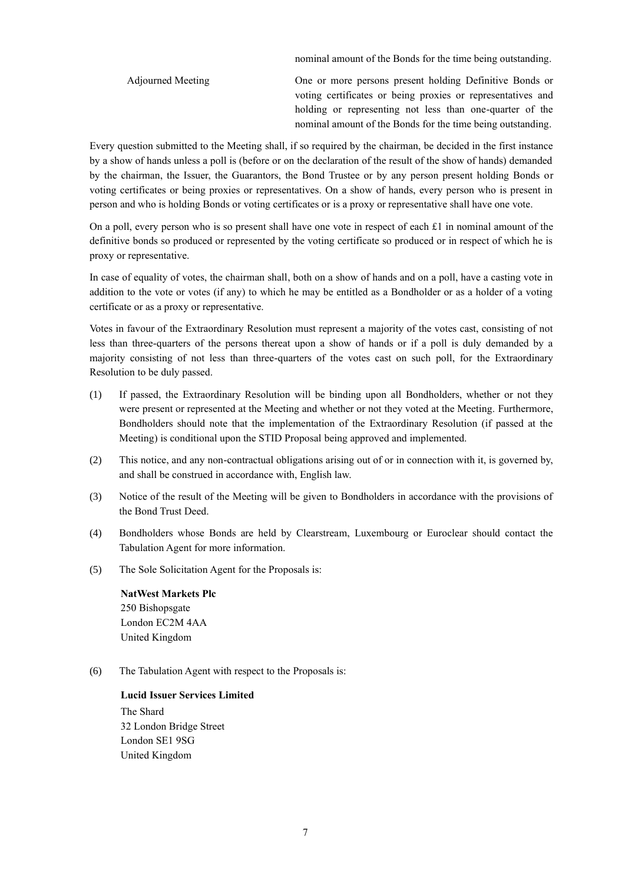nominal amount of the Bonds for the time being outstanding.

Adjourned Meeting One or more persons present holding Definitive Bonds or voting certificates or being proxies or representatives and holding or representing not less than one-quarter of the nominal amount of the Bonds for the time being outstanding.

Every question submitted to the Meeting shall, if so required by the chairman, be decided in the first instance by a show of hands unless a poll is (before or on the declaration of the result of the show of hands) demanded by the chairman, the Issuer, the Guarantors, the Bond Trustee or by any person present holding Bonds or voting certificates or being proxies or representatives. On a show of hands, every person who is present in person and who is holding Bonds or voting certificates or is a proxy or representative shall have one vote.

On a poll, every person who is so present shall have one vote in respect of each £1 in nominal amount of the definitive bonds so produced or represented by the voting certificate so produced or in respect of which he is proxy or representative.

In case of equality of votes, the chairman shall, both on a show of hands and on a poll, have a casting vote in addition to the vote or votes (if any) to which he may be entitled as a Bondholder or as a holder of a voting certificate or as a proxy or representative.

Votes in favour of the Extraordinary Resolution must represent a majority of the votes cast, consisting of not less than three-quarters of the persons thereat upon a show of hands or if a poll is duly demanded by a majority consisting of not less than three-quarters of the votes cast on such poll, for the Extraordinary Resolution to be duly passed.

- (1) If passed, the Extraordinary Resolution will be binding upon all Bondholders, whether or not they were present or represented at the Meeting and whether or not they voted at the Meeting. Furthermore, Bondholders should note that the implementation of the Extraordinary Resolution (if passed at the Meeting) is conditional upon the STID Proposal being approved and implemented.
- (2) This notice, and any non-contractual obligations arising out of or in connection with it, is governed by, and shall be construed in accordance with, English law.
- (3) Notice of the result of the Meeting will be given to Bondholders in accordance with the provisions of the Bond Trust Deed.
- (4) Bondholders whose Bonds are held by Clearstream, Luxembourg or Euroclear should contact the Tabulation Agent for more information.
- (5) The Sole Solicitation Agent for the Proposals is:

**NatWest Markets Plc** 250 Bishopsgate London EC2M 4AA United Kingdom

(6) The Tabulation Agent with respect to the Proposals is:

**Lucid Issuer Services Limited** The Shard 32 London Bridge Street London SE1 9SG United Kingdom